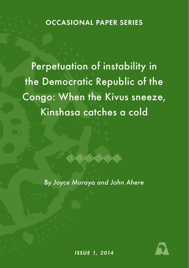**OCCASIONAL PAPER SERIES** 

Perpetuation of instability in the Democratic Republic of the Congo: When the Kivus sneeze, Kinshasa catches a cold



*By Joyce Muraya and John Ahere*



*ISSUE 1, 2014*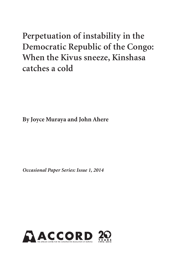# **Perpetuation of instability in the Democratic Republic of the Congo: When the Kivus sneeze, Kinshasa catches a cold**

**By Joyce Muraya and John Ahere**

*Occasional Paper Series: Issue 1, 2014*

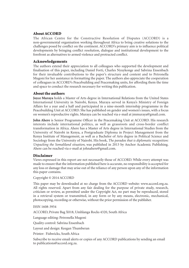#### About ACCORD

The African Centre for the Constructive Resolution of Disputes (ACCORD) is a non-governmental organisation working throughout Africa to bring creative solutions to the challenges posed by conflict on the continent. ACCORD's primary aim is to influence political developments by bringing conflict resolution, dialogue and institutional development to the forefront as alternatives to armed violence and protracted conflict.

#### Acknowledgements

The authors extend their appreciation to all colleagues who supported the development and finalisation of this paper, including Daniel Forti, Charles Nyuykonge and Sabrina Ensenbach for their invaluable contributions to the paper's structure and content and to Petronella Mugoni for her assistance in formatting the paper. The authors also appreciate the cooperation of colleagues in ACCORD's Peacebuilding and Peacemaking units, for affording them the time and space to conduct the research necessary for writing this publication.

#### About the authors

**Joyce Muraya** holds a Master of Arts degree in International Relations from the United States International University in Nairobi, Kenya. Muraya served in Kenya's Ministry of Foreign Affairs for a year and a half and participated in a nine-month internship programme in the Peacebuilding Unit at ACCORD. She has published on gender and women's issues, with a focus on women's reproductive rights. Muraya can be reached via e-mail at jmmuraya@gmail.com.

**John Ahere** is Senior Programme Officer in the Peacemaking Unit at ACCORD. His research interests include international politics, as well as grassroots and cross-border conflict transformation in Africa. Ahere has a Master of Arts degree in International Studies from the University of Nairobi in Kenya, a Postgraduate Diploma in Project Management from the Kenya Institute of Management, as well as a Bachelor of Arts degree in Political Science and Sociology from the University of Nairobi. His book, *The paradox that is diplomatic recognition: Unpacking the Somaliland situation*, was published in 2013 by Anchor Academic Publishing. Ahere can be reached via e-mail at johnahere@gmail.com.

#### Disclaimer

Views expressed in this report are not necessarily those of ACCORD. While every attempt was made to ensure that the information published here is accurate, no responsibility is accepted for any loss or damage that may arise out of the reliance of any person upon any of the information this paper contains.

Copyright © 2014 ACCORD

This paper may be downloaded at no charge from the ACCORD website: www.accord.org.za. All rights reserved. Apart from any fair dealing for the purpose of private study, research, criticism or review, as permitted under the Copyright Act, no part may be reproduced, stored in a retrieval system or transmitted, in any form or by any means, electronic, mechanical, photocopying, recording or otherwise, without the prior permission of the publisher.

ISSN 1608-3954

ACCORD, Private Bag X018, Umhlanga Rocks 4320, South Africa

Language editing: Petronella Mugoni

Quality control: Sabrina Ensenbach

Layout and design: Keegan Thumberan

Printer: Fishwicks, South Africa

Subscribe to receive email alerts or copies of any ACCORD publications by sending an email to publications@accord.org.za.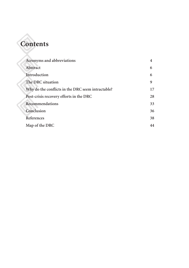| <b>Contents</b>                                   |    |
|---------------------------------------------------|----|
|                                                   |    |
| Acronyms and abbreviations                        | 4  |
| Abstract                                          | 6  |
| Introduction                                      | 6  |
| The DRC situation                                 | 9  |
| Why do the conflicts in the DRC seem intractable? | 17 |
| Post-crisis recovery efforts in the DRC           | 28 |
| Recommendations                                   | 33 |
| Conclusion                                        | 36 |
| References                                        | 38 |
| Map of the DRC                                    | 44 |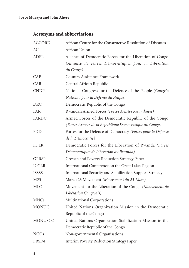# Acronyms and abbreviations

| <b>ACCORD</b>  | African Centre for the Constructive Resolution of Disputes                                                        |  |  |
|----------------|-------------------------------------------------------------------------------------------------------------------|--|--|
| AU             | African Union                                                                                                     |  |  |
| <b>ADFL</b>    | Alliance of Democratic Forces for the Liberation of Congo<br>(Alliance de Forces Démocratiques pour la Libération |  |  |
|                | du Congo)                                                                                                         |  |  |
| <b>CAF</b>     | Country Assistance Framework                                                                                      |  |  |
| CAR            | Central African Republic                                                                                          |  |  |
| <b>CNDP</b>    | National Congress for the Defence of the People (Congrès<br>National pour la Défense du Peuple)                   |  |  |
| <b>DRC</b>     | Democratic Republic of the Congo                                                                                  |  |  |
| FAR            | Rwandan Armed Forces (Forces Armées Rwandaises)                                                                   |  |  |
| <b>FARDC</b>   | Armed Forces of the Democratic Republic of the Congo<br>(Forces Armées de la République Démocratique du Congo)    |  |  |
| FDD            | Forces for the Defence of Democracy (Forces pour la Défense<br>de la Démocratie)                                  |  |  |
| <b>FDLR</b>    | Democratic Forces for the Liberation of Rwanda (Forces<br>Démocratiques de Libération du Rwanda)                  |  |  |
| <b>GPRSP</b>   | Growth and Poverty Reduction Strategy Paper                                                                       |  |  |
| ICGLR          | International Conference on the Great Lakes Region                                                                |  |  |
| <b>ISSSS</b>   | International Security and Stabilization Support Strategy                                                         |  |  |
| M23            | March 23 Movement (Mouvement du 23-Mars)                                                                          |  |  |
| <b>MLC</b>     | Movement for the Liberation of the Congo (Mouvement de                                                            |  |  |
|                | Libération Congolais)                                                                                             |  |  |
| <b>MNCs</b>    | Multinational Corporations                                                                                        |  |  |
| <b>MONUC</b>   | United Nations Organization Mission in the Democratic                                                             |  |  |
|                | Republic of the Congo                                                                                             |  |  |
| <b>MONUSCO</b> | United Nations Organization Stabilization Mission in the                                                          |  |  |
|                | Democratic Republic of the Congo                                                                                  |  |  |
| NGOs           | Non-governmental Organisations                                                                                    |  |  |
| PRSP-I         | Interim Poverty Reduction Strategy Paper                                                                          |  |  |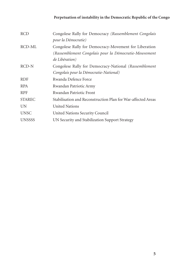| <b>RCD</b>    | Congolese Rally for Democracy (Rassemblement Congolais       |
|---------------|--------------------------------------------------------------|
|               | pour la Démocratie)                                          |
| RCD-ML        | Congolese Rally for Democracy-Movement for Liberation        |
|               | (Rassemblement Congolais pour la Démocratie-Mouvement        |
|               | de Libération)                                               |
| RCD-N         | Congolese Rally for Democracy-National (Rassemblement)       |
|               | Congolais pour la Démocratie-National)                       |
| <b>RDF</b>    | Rwanda Defence Force                                         |
| <b>RPA</b>    | Rwandan Patriotic Army                                       |
| <b>RPF</b>    | Rwandan Patriotic Front                                      |
| <b>STAREC</b> | Stabilisation and Reconstruction Plan for War-affected Areas |
| UN            | United Nations                                               |
| <b>UNSC</b>   | United Nations Security Council                              |
| <b>UNSSSS</b> | UN Security and Stabilization Support Strategy               |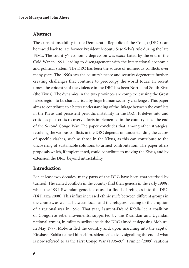# Abstract

The current instability in the Democratic Republic of the Congo (DRC) can be traced back to late former President Mobutu Sese Seko's rule during the late 1980s. The country's economic depression was exacerbated by the end of the Cold War in 1991, leading to disengagement with the international economic and political system. The DRC has been the source of numerous conflicts over many years. The 1990s saw the country's peace and security degenerate further, creating challenges that continue to preoccupy the world today. In recent times, the epicentre of the violence in the DRC has been North and South Kivu (the Kivus). The dynamics in the two provinces are complex, causing the Great Lakes region to be characterised by huge human security challenges. This paper aims to contribute to a better understanding of the linkage between the conflicts in the Kivus and persistent periodic instability in the DRC. It delves into and critiques post-crisis recovery efforts implemented in the country since the end of the Second Congo War. The paper concludes that, among other strategies, resolving the various conflicts in the DRC depends on understanding the causes of specific clashes, such as those in the Kivus, as this can contribute to the uncovering of sustainable solutions to armed confrontation. The paper offers proposals which, if implemented, could contribute to moving the Kivus, and by extension the DRC, beyond intractability.

# **Introduction**

For at least two decades, many parts of the DRC have been characterised by turmoil. The armed conflicts in the country find their genesis in the early 1990s, when the 1994 Rwandan genocide caused a flood of refugees into the DRC (Di Piazza 2008). This influx increased ethnic strife between different groups in the country, as well as between locals and the refugees, leading to the eruption of a regional war in 1996. That year, Laurent-Désiré Kabila led a coalition of Congolese rebel movements, supported by the Rwandan and Ugandan national armies, in military strikes inside the DRC aimed at deposing Mobutu. In May 1997, Mobutu fled the country and, upon marching into the capital, Kinshasa, Kabila named himself president, effectively signalling the end of what is now referred to as the First Congo War (1996–97). Prunier (2009) cautions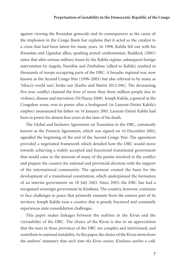against viewing the Rwandan genocide and its consequences as the cause of the implosion in the Congo Basin but explains that it acted as the catalyst to a crisis that had been latent for many years. In 1998, Kabila fell out with his Rwandan and Ugandan allies, sparking armed confrontation. Ruddock (2001) notes that after serious military losses by the Kabila regime, subsequent foreign intervention by Angola, Namibia and Zimbabwe (allied to Kabila) resulted in thousands of troops occupying parts of the DRC. A broader regional war, now known as the Second Congo War (1998–2003) but also referred to by many as 'Africa's world war', broke out (Karbo and Mutisi 2012:396). The devastating five-year conflict claimed the lives of more than three million people due to violence, disease and starvation (Di Piazza 2008). Joseph Kabila, a general in the Congolese army, rose to power after a bodyguard (in Laurent-Désiré Kabila's employ) assassinated his father on 16 January 2001. Laurent-Désiré Kabila had been in power for almost four years at the time of his death.

The Global and Inclusive Agreement on Transition in the DRC, commonly known as the Pretoria Agreement, which was signed on 16 December 2002, signalled the beginning of the end of the Second Congo War. The agreement provided a negotiated framework which detailed how the DRC would move towards achieving a widely accepted and functional transitional government that would cater to the interests of many of the parties involved in the conflict and prepare the country for national and provincial elections with the support of the international community. The agreement created the basis for the development of a transitional constitution, which underpinned the formation of an interim government on 18 July 2003. Since 2003, the DRC has had a recognised sovereign government in Kinshasa. The country, however, continues to face challenges to peace that primarily emanate from the eastern part of its territory. Joseph Kabila runs a country that is grossly fractured and constantly experiences state consolidation challenges.

This paper makes linkages between the realities in the Kivus and the (in)stability of the DRC. The choice of the Kivus is due to an appreciation that the wars in these provinces of the DRC are complex and intertwined, and contribute to national instability. In this paper, the choice of the Kivus stems from the authors' summary that *each time the Kivus sneeze, Kinshasa catches a cold*.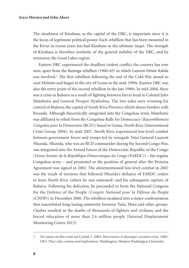The steadiness of Kinshasa, as the capital of the DRC, is important since it is the locus of legitimate political power. Each rebellion that has been mounted in the Kivus in recent years has had Kinshasa as the ultimate target. The strength of Kinshasa is therefore symbolic of the general stability of the DRC, and by extension, the Great Lakes region.

Eastern DRC experienced the deadliest violent conflict the country has ever seen, apart from the Katanga rebellion (1960–65) in which Laurent-Désiré Kabila was involved.1 The first rebellion following the end of the Cold War aimed to oust Mobutu and began in the city of Goma in the mid-1990s. Eastern DRC was also the entry point of the second rebellion in the late 1990s. In mid-2004, there was a crisis in Bukavu as a result of fighting between forces loyal to Colonel Jules Mutebutsi and General Prosper Nyabiolwa. The two sides were wresting for control of Bukavu, the capital of South Kivu Province which shares borders with Rwanda. Although theoretically integrated into the Congolese army, Mutebutsi was affiliated to rebels from the Congolese Rally for Democracy (*Rassemblement Congolais pour la Démocratie* (RCD)) based in Goma, North Kivu (International Crisis Group 2004). In mid-2007, North Kivu experienced low-level combat between government forces and troops led by renegade Tutsi General Laurent Nkunda. Nkunda, who was an RCD commander during the Second Congo War, was integrated into the Armed Forces of the Democratic Republic of the Congo (*Forces Armées de la République Démocratique du Congo* (FARDC)) – the regular Congolese army – and promoted to the position of general after the Pretoria Agreement was signed in 2002. The aforementioned low-level combat in 2007 was the result of tensions that followed Nkunda's defiance of FARDC orders to leave North Kivu (where he was stationed) and his subsequent capture of Bukavu. Following his defection, he proceeded to form the National Congress for the Defence of the People (*Congrès National pour la Défense du Peuple*  (CNDP)) in December 2006. The rebellion escalated into a major confrontation that exacerbated long-lasting animosity between Tutsi, Hutu and other groups. Clashes resulted in the deaths of thousands of fighters and civilians, and the forced relocation of more than 2.6 million people (Internal Displacement Monitoring Centre 2013).

<sup>1</sup> For more on this crisis see Coufal, L. 2004. *Mercenaries in Katanga's secession crisis, 1960– 1963: Their roles, actions and implications*. Washington, Western Washington University.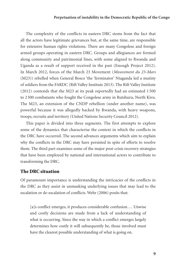The complexity of the conflicts in eastern DRC stems from the fact that all the actors have legitimate grievances but, at the same time, are responsible for extensive human rights violations. There are many Congolese and foreign armed groups operating in eastern DRC. Groups and allegiances are formed along community and patrimonial lines, with some aligned to Rwanda and Uganda as a result of support received in the past (Enough Project 2012). In March 2012, forces of the March 23 Movement (*Mouvement du 23-Mars*  (M23)) rebelled when General Bosco 'the Terminator' Ntaganda led a mutiny of soldiers from the FARDC (Rift Valley Institute 2013). The Rift Valley Institute (2012) contends that the M23 at its peak reportedly had an estimated 1 500 to 2 500 combatants who fought the Congolese army in Rutshuru, North Kivu. The M23, an extension of the CNDP rebellion (under another name), was powerful because it was allegedly backed by Rwanda, with heavy weapons, troops, recruits and territory (United Nations Security Council 2012).

This paper is divided into three segments. The first attempts to explore some of the dynamics that characterise the context in which the conflicts in the DRC have occurred. The second advances arguments which aim to explain why the conflicts in the DRC may have persisted in spite of efforts to resolve them. The third part examines some of the major post-crisis recovery strategies that have been employed by national and international actors to contribute to transforming the DRC.

# The DRC situation

Of paramount importance is understanding the intricacies of the conflicts in the DRC as they assist in unmasking underlying issues that may lead to the escalation or de-escalation of conflicts. Wehr (2006) posits that:

[a]s conflict emerges, it produces considerable confusion.... Unwise and costly decisions are made from a lack of understanding of what is occurring. Since the way in which a conflict emerges largely determines how costly it will subsequently be, those involved must have the clearest possible understanding of what is going on.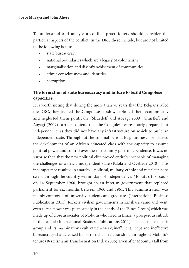To understand and analyse a conflict practitioners should consider the particular aspects of the conflict. In the DRC these include, but are not limited to the following issues:

- state bureaucracy
- national boundaries which are a legacy of colonialism
- marginalisation and disenfranchisement of communities
- ethnic consciousness and identities
- corruption.

# The formation of state bureaucracy and failure to build Congolese capacities

It is worth noting that during the more than 70 years that the Belgians ruled the DRC, they treated the Congolese harshly, exploited them economically and neglected them politically (Shurtleff and Aoyagi 2009). Shurtleff and Aoyagi (2009) further contend that the Congolese were poorly prepared for independence, as they did not have any infrastructure on which to build an independent state. Throughout the colonial period, Belgium never prioritised the development of an African educated class with the capacity to assume political power and control over the vast country post-independence. It was no surprise then that the new political elite proved entirely incapable of managing the challenges of a newly independent state (Falola and Oyebade 2010). This incompetence resulted in anarchy – political, military, ethnic and racial tensions swept through the country within days of independence. Mobutu's first coup, on 14 September 1960, brought in an interim government that replaced parliament for six months between 1960 and 1961. This administration was mainly composed of university students and graduates (International Business Publications 2011). Rickety civilian governments in Kinshasa came and went, even as real power was purportedly in the hands of the 'Binza Group', which was made up of close associates of Mobutu who lived in Binza, a prosperous suburb in the capital (International Business Publications 2011). The existence of this group and its machinations cultivated a weak, inefficient, inept and ineffective bureaucracy characterised by patron-client relationships throughout Mobutu's tenure (Bertelsmann Transformation Index 2006). Even after Mobutu's fall from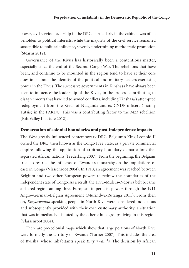power, civil service leadership in the DRC, particularly in the cabinet, was often beholden to political interests, while the majority of the civil service remained susceptible to political influence, severely undermining meritocratic promotion (Stearns 2012).

Governance of the Kivus has historically been a contentious matter, especially since the end of the Second Congo War. The rebellions that have been, and continue to be mounted in the region tend to have at their core questions about the identity of the political and military leaders exercising power in the Kivus. The successive governments in Kinshasa have always been keen to influence the leadership of the Kivus, in the process contributing to disagreements that have led to armed conflicts, including Kinshasa's attempted redeployment from the Kivus of Ntaganda and ex-CNDP officers (mainly Tutsis) in the FARDC. This was a contributing factor to the M23 rebellion (Rift Valley Institute 2012).

#### Demarcation of colonial boundaries and post-independence impacts

The West greatly influenced contemporary DRC. Belgium's King Leopold II owned the DRC, then known as the Congo Free State, as a private commercial empire following the application of arbitrary boundary demarcations that separated African nations (Frederking 2007). From the beginning, the Belgians tried to restrict the influence of Rwanda's monarchy on the populations of eastern Congo (Vlassenroot 2004). In 1910, an agreement was reached between Belgium and two other European powers to redraw the boundaries of the independent state of Congo. As a result, the Kivu–Mulera–Ndorwa belt became a shared region among three European imperialist powers through the 1911 Anglo–German–Belgian Agreement (Murindwa-Rutanga 2011). From then on, *Kinyarwanda* speaking people in North Kivu were considered indigenous and subsequently provided with their own customary authority, a situation that was immediately disputed by the other ethnic groups living in this region (Vlassenroot 2004).

There are pre-colonial maps which show that large portions of North Kivu were formerly the territory of Rwanda (Turner 2007). This includes the area of Bwisha, whose inhabitants speak *Kinyarwanda*. The decision by African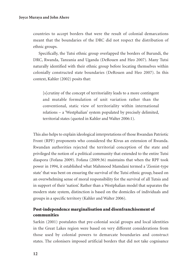countries to accept borders that were the result of colonial demarcations meant that the boundaries of the DRC did not respect the distribution of ethnic groups.

Specifically, the Tutsi ethnic group overlapped the borders of Burundi, the DRC, Rwanda, Tanzania and Uganda (DeRouen and Heo 2007). Many Tutsi naturally identified with their ethnic group before locating themselves within colonially constructed state boundaries (DeRouen and Heo 2007). In this context, Kahler (2002) posits that:

[s]crutiny of the concept of territoriality leads to a more contingent and mutable formulation of unit variation rather than the conventional, static view of territoriality within international relations – a 'Westphalian' system populated by precisely delimited, territorial states (quoted in Kahler and Walter 2006:1).

This also helps to explain ideological interpretations of those Rwandan Patriotic Front (RPF) proponents who considered the Kivus an extension of Rwanda. Rwandan authorities rejected the territorial conception of the state and privileged the notion of a political community that extended to the entire Tutsi diaspora (Fofana 2009). Fofana (2009:36) maintains that when the RPF took power in 1994, it established what Mahmood Mamdani termed a 'Zionist-type state' that was bent on ensuring the survival of the Tutsi ethnic group, based on an overwhelming sense of moral responsibility for the survival of all Tutsis and in support of their 'nation'. Rather than a Westphalian model that separates the modern state system, distinction is based on the domiciles of individuals and groups in a specific territory (Kahler and Walter 2006).

# Post-independence marginalisation and disenfranchisement of communities

Sarkin (2001) postulates that pre-colonial social groups and local identities in the Great Lakes region were based on very different considerations from those used by colonial powers to demarcate boundaries and construct states. The colonisers imposed artificial borders that did not take cognisance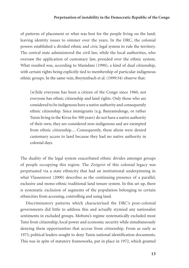of patterns of placement or what was best for the people living on the land; leaving identity issues to simmer over the years. In the DRC, the colonial powers established a divided ethnic and civic legal system to rule the territory. The central state administered the civil law, while the local authorities, who oversaw the application of customary law, presided over the ethnic system. What resulted was, according to Mamdani (1990), a kind of dual citizenship, with certain rights being explicitly tied to membership of particular indigenous ethnic groups. In the same vein, Breytenbach et al. (1999:34) observe that:

[w]hile everyone has been a citizen of the Congo since 1960, not everyone has ethnic citizenship and land rights. Only those who are considered to be indigenous have a native authority and consequently ethnic citizenship. Since immigrants (e.g. Banyamulenge, or rather Tutsis living in the Kivus for 300 years) do not have a native authority of their own, they are considered non-indigenous and are exempted from ethnic citizenship.... Consequently, these aliens were denied customary access to land because they had no native authority in colonial days.

The duality of the legal system exacerbated ethnic divides amongst groups of people occupying this region. The *Zeitgeist* of this colonial legacy was perpetuated via a state ethnicity that had an institutional underpinning in what Vlassenroot (2000) describes as the continuing presence of a parallel, exclusive and mono-ethnic traditional land tenure system. In this set up, there is systematic exclusion of segments of the population belonging to certain ethnicities from accessing, controlling and using land.

Discriminatory patterns which characterised the DRC's post-colonial governments did little to address this and actually stymied any nationalist sentiments in excluded groups. Mobutu's regime systematically excluded most Tutsi from citizenship, local power and economic security while simultaneously denying them opportunities that accrue from citizenship. From as early as 1973, political leaders sought to deny Tutsis national identification documents. This was in spite of statutory frameworks, put in place in 1972, which granted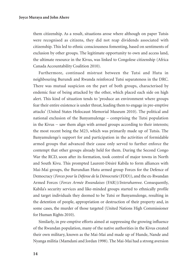them citizenship. As a result, situations arose where although on paper Tutsis were recognised as citizens, they did not reap dividends associated with citizenship. This led to ethnic consciousness fomenting, based on sentiments of exclusion by other groups. The legitimate opportunity to own and access land, the ultimate resource in the Kivus, was linked to Congolese citizenship (Africa Canada Accountability Coalition 2010).

Furthermore, continued mistrust between the Tutsi and Hutu in neighbouring Burundi and Rwanda reinforced Tutsi separateness in the DRC. There was mutual suspicion on the part of both groups, characterised by endemic fear of being attacked by the other, which placed each side on high alert. This kind of situation tends to 'produce an environment where groups fear their entire existence is under threat, leading them to engage in pre-emptive attacks' (United States Holocaust Memorial Museum 2010). The political and national exclusion of the Banyamulenge – comprising the Tutsi population in the Kivus − saw them align with armed groups according to their interests; the most recent being the M23, which was primarily made up of Tutsis. The Banyamulenge's support for and participation in the activities of formidable armed groups that advanced their cause only served to further enforce the contempt that other groups already held for them. During the Second Congo War the RCD, soon after its formation, took control of major towns in North and South Kivu. This prompted Laurent-Désiré Kabila to form alliances with Mai-Mai groups, the Burundian Hutu armed group Forces for the Defence of Democracy (*Forces pour la Défense de la Démocratie* (FDD)), and the ex-Rwandan Armed Forces (*Forces Armée Rwandaises* (FAR))/*Interahamwe*. Consequently, Kabila's security services and like-minded groups started to ethnically profile and target individuals they deemed to be Tutsi or Banyamulenge, resulting in the detention of people, appropriation or destruction of their property and, in some cases, the murder of those targeted (United Nations High Commissioner for Human Rights 2010).

Similarly, in pre-emptive efforts aimed at suppressing the growing influence of the Rwandan population, many of the native authorities in the Kivus created their own military, known as the Mai-Mai and made up of Hunde, Nande and Nyanga militia (Mamdani and Jordan 1998). The Mai-Mai had a strong aversion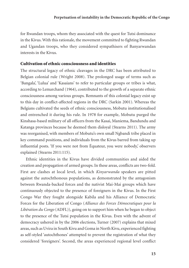for Rwandan troops, whom they associated with the quest for Tutsi dominance in the Kivus. With this rationale, the movement committed to fighting Rwandan and Ugandan troops, who they considered sympathisers of Banyarwandan interests in the Kivus.

# Cultivation of ethnic consciousness and identities

The structural legacy of ethnic cleavages in the DRC has been attributed to Belgian colonial rule (Wright 2008). The prolonged usage of terms such as 'Bangala', 'Lulua' and 'Kasaians' to refer to particular groups or tribes is what, according to Lemarchand (1964), contributed to the growth of a separate ethnic consciousness among various groups. Remnants of this colonial legacy exist up to this day in conflict-affected regions in the DRC (Sarkin 2001). Whereas the Belgians cultivated the seeds of ethnic consciousness, Mobutu institutionalised and entrenched it during his rule. In 1978 for example, Mobutu purged the Kinshasa-based military of all officers from the Kasai, Maniema, Bandundu and Katanga provinces because he deemed them disloyal (Stearns 2011). The army was reorganised, with members of Mobutu's own small Ngbandi tribe placed in key command positions, and individuals from the Kivus barred from taking up influential posts. 'If you were not from Équateur, you were nobody,' observers explained (Stearns 2011:115).

Ethnic identities in the Kivus have divided communities and aided the creation and propagation of armed groups. In these areas, conflicts are two-fold. First are clashes at local level, in which *Kinyarwanda* speakers are pitted against the autochthonous populations, as demonstrated by the antagonism between Rwanda-backed forces and the nativist Mai-Mai groups which have continuously objected to the presence of foreigners in the Kivus. In the First Congo War they fought alongside Kabila and his Alliance of Democratic Forces for the Liberation of Congo (*Alliance des Forces Démocratiques pour la Libération du Congo* (ADFL)), going on to support him when he began to object to the presence of the Tutsi population in the Kivus. Even with the advent of democracy ushered in by the 2006 elections, Turner (2007) explains that mixed areas, such as Uvira in South Kivu and Goma in North Kivu, experienced fighting as self-styled 'autochthones' attempted to prevent the registration of what they considered 'foreigners'. Second, the areas experienced regional level conflict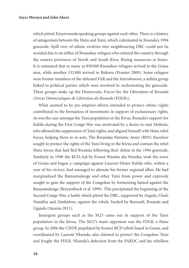which pitted *Kinyarwanda* speaking groups against each other. There is a history of antagonism between the Hutu and Tutsi, which culminated in Rwanda's 1994 genocide. Spill over of ethnic rivalries into neighbouring DRC could not be avoided due to an influx of Rwandese refugees who entered the country through the eastern provinces of North and South Kivu, fleeing massacres at home. It is estimated that as many as 850 000 Rwandese refugees arrived in the Goma area, while another 332 000 arrived in Bukavu (Prunier 2009). Some refugees were former members of the defeated FAR and the *Interahamwe*, a militia group linked to political parties which were involved in orchestrating the genocide. These groups make up the Democratic Forces for the Liberation of Rwanda (*Forces Démocratiques de Libération du Rwanda* (FDLR)).

What seemed to be pre-emptive efforts intended to protect ethnic rights contributed to the formation of movements in support of exclusionary rights. As was the case amongst the Tutsi population in the Kivus, Rwanda's support for Kabila during the First Congo War was motivated by a desire to oust Mobutu, who allowed the suppression of Tutsi rights, and aligned himself with Hutu rebel forces, helping them to re-arm. The Rwandan Patriotic Army (RPA) therefore sought to protect the rights of the Tutsi living in the Kivus and contain the rebel Hutu forces that had fled Rwanda following their defeat in the 1994 genocide. Similarly in 1998 the RCD, led by Ernest Wamba dia Wamba, took the town of Goma and began a campaign against Laurent-Désiré Kabila who, within a year of his victory, had managed to alienate his former regional allies. He had marginalised the Banyamulenge and other Tutsi from power and expressly sought to gain the support of the Congolese by fermenting hatred against the Banyamulenge (Breytenbach et al. 1999). This precipitated the beginning of the Second Congo War, a battle which pitted the DRC, supported by Angola, Chad, Namibia and Zimbabwe, against the rebels, backed by Burundi, Rwanda and Uganda (Stearns 2011).

Insurgent groups such as the M23 came out in support of the Tutsi population in the Kivus. The M23's main opponent was the FDLR, a Hutu group. In 2006 the CNDP, populated by former RCD rebels based in Goma, and coordinated by Laurent Nkunda, also claimed to protect the Congolese Tutsi and fought the FDLR. Nkunda's defection from the FARDC and his rebellion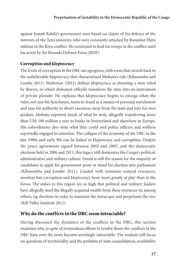against Joseph Kabila's government were based on claims of his defence of the interests of the Tutsi minority, who were constantly attacked by Rwandan Hutu militias in the Kivu conflict. He continued to lead his troops in the conflict until his arrest by the Rwanda Defence Force (RDF).

# Corruption and kleptocracy

The levels of corruption in the DRC are egregious, with roots that stretch back to the unbelievable kleptocracy that characterised Mobutu's rule (Kibasomba and Lombe 2011). Wedeman (2012) defines kleptocracy as denoting a state ruled by thieves, in which dishonest officials transform the state into an instrument of private plunder. He explains that kleptocracy begins to emerge when the ruler, not just his henchmen, turns to fraud as a means of personal enrichment and uses his authority to divert resources away from the state and into his own pockets. Mobutu exported much of what he stole, allegedly transferring more than US\$ 100 million a year to banks in Switzerland and elsewhere in Europe. His subordinates also stole what they could and police officers and soldiers reportedly engaged in extortion. The collapse of the economy of the DRC in the late 1980s and early 90s can be linked to kleptocracy and corruption. Despite the peace agreements signed between 2002 and 2007, and the democratic elections held in 2006 and 2011, this legacy still dominates the Congo's political, administrative and military culture. Greed is still the reason for the majority of candidates to apply for government posts or stand for election into parliament (Kibasomba and Lombe 2011). Loaded with immense natural resources, nowhere has corruption and kleptocracy been more greatly at play than in the Kivus. The stakes in this region are so high that political and military leaders have allegedly used the illegally acquired wealth from these resources to, among others, rig elections in order to maintain the status quo and perpetuate the vice (Rift Valley Institute 2012).

# Why do the conflicts in the DRC seem intractable?

Having discussed the dynamics of the conflicts in the DRC, this section examines why, in spite of tremendous efforts to resolve them, the conflicts in the DRC have over the years become seemingly intractable. The analysis will focus on questions of territoriality and the problem of state consolidation, availability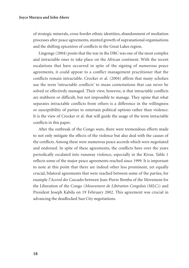of strategic minerals, cross-border ethnic identities, abandonment of mediation processes after peace agreements, stunted growth of supranational organisations and the shifting epicentres of conflicts in the Great Lakes region.

Lingonge (2004) posits that the war in the DRC was one of the most complex and intractable ones to take place on the African continent. With the recent escalations that have occurred in spite of the signing of numerous peace agreements, it could appear to a conflict management practitioner that the conflicts remain intractable. Crocker et al. (2004) affirm that many scholars use the term 'intractable conflicts' to mean contestations that can never be solved or effectively managed. Their view, however, is that intractable conflicts are stubborn or difficult, but not impossible to manage. They opine that what separates intractable conflicts from others is a difference in the willingness or susceptibility of parties to entertain political options rather than violence. It is the view of Crocker et al. that will guide the usage of the term intractable conflicts in this paper.

After the outbreak of the Congo wars, there were tremendous efforts made to not only mitigate the effects of the violence but also deal with the causes of the conflicts. Among these were numerous peace accords which were negotiated and endorsed. In spite of these agreements, the conflicts have over the years periodically escalated into runaway violence, especially in the Kivus. Table 1 reflects some of the major peace agreements reached since 1999. It is important to note at this point that there are indeed other less prominent, yet equally crucial, bilateral agreements that were reached between some of the parties, for example *l'Accord des Cascades* between Jean-Pierre Bemba of the Movement for the Liberation of the Congo (*Mouvement de Libération Congolais* (MLC)) and President Joseph Kabila on 19 February 2002. This agreement was crucial in advancing the deadlocked Sun City negotiations.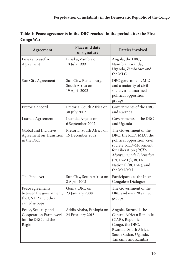| Table 1: Peace agreements in the DRC reached in the period after the First |  |
|----------------------------------------------------------------------------|--|
| Congo War                                                                  |  |

| Agreement                                                                         | Place and date<br>of signature                            | Parties involved                                                                                                                                                                                                       |
|-----------------------------------------------------------------------------------|-----------------------------------------------------------|------------------------------------------------------------------------------------------------------------------------------------------------------------------------------------------------------------------------|
| Lusaka Ceasefire<br>Agreement                                                     | Lusaka, Zambia on<br>10 July 1999                         | Angola, the DRC,<br>Namibia, Rwanda,<br>Uganda, Zimbabwe and<br>the MLC                                                                                                                                                |
| Sun City Agreement                                                                | Sun City, Rustenburg,<br>South Africa on<br>19 April 2002 | DRC government, MLC<br>and a majority of civil<br>society and unarmed<br>political opposition<br>groups                                                                                                                |
| Pretoria Accord                                                                   | Pretoria, South Africa on<br>30 July 2002                 | Governments of the DRC<br>and Rwanda                                                                                                                                                                                   |
| Luanda Agreement                                                                  | Luanda, Angola on<br>6 September 2002                     | Governments of the DRC<br>and Uganda                                                                                                                                                                                   |
| Global and Inclusive<br>Agreement on Transition<br>in the DRC                     | Pretoria, South Africa on<br>16 December 2002             | The Government of the<br>DRC, the RCD, MLC, the<br>political opposition, civil<br>society, RCD-Movement<br>for Liberation (RCD-<br>Mouvement de Libération<br>(RCD-ML)), RCD-<br>National (RCD-N), and<br>the Mai-Mai. |
| The Final Act                                                                     | Sun City, South Africa on<br>2 April 2003                 | Participants at the Inter-<br>Congolese Dialogue                                                                                                                                                                       |
| Peace agreements<br>between the government,<br>the CNDP and other<br>armed groups | Goma, DRC on<br>23 January 2008                           | The Government of the<br>DRC and over 20 armed<br>groups                                                                                                                                                               |
| Peace, Security and<br>Cooperation Framework<br>for the DRC and the<br>Region     | Addis Ababa, Ethiopia on<br>24 February 2013              | Angola, Burundi, the<br>Central African Republic<br>(CAR), Republic of<br>Congo, the DRC,<br>Rwanda, South Africa,<br>South Sudan, Uganda,<br>Tanzania and Zambia                                                      |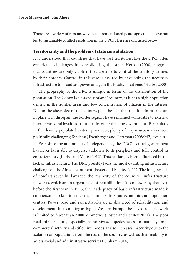There are a variety of reasons why the aforementioned peace agreements have not led to sustainable conflict resolution in the DRC. These are discussed below.

#### Territoriality and the problem of state consolidation

It is understood that countries that have vast territories, like the DRC, often experience challenges in consolidating the state. Herbst (2000) suggests that countries are only viable if they are able to control the territory defined by their borders. Control in this case is assured by developing the necessary infrastructure to broadcast power and gain the loyalty of citizens (Herbst 2000).

The geography of the DRC is unique in terms of the distribution of the population. The Congo is a classic 'rimland' country, as it has a high population density in the frontier areas and low concentration of citizens in the interior. Due to the sheer size of the country, plus the fact that the little infrastructure in place is in disrepair, the border regions have remained vulnerable to external interferences and loyalties to authorities other than the government. 'Particularly in the densely populated eastern provinces, plenty of major urban areas were politically challenging Kinshasa', Exenberger and Hartman (2008:247) explain.

Ever since the attainment of independence, the DRC's central government has never been able to disperse authority to its periphery and fully control its entire territory (Karbo and Mutisi 2012). This has largely been influenced by the lack of infrastructure. The DRC possibly faces the most daunting infrastructure challenge on the African continent (Foster and Benitez 2011). The long periods of conflict severely damaged the majority of the country's infrastructure networks, which are in urgent need of rehabilitation. It is noteworthy that even before the first war in 1996, the inadequacy of basic infrastructure made it cumbersome to knit together the country's disparate economic and population centres. Power, road and rail networks are in dire need of rehabilitation and development. In a country as big as Western Europe the paved road network is limited to fewer than 3 000 kilometres (Foster and Benitez 2011). The poor road infrastructure, especially in the Kivus, impedes access to markets, limits commercial activity and stifles livelihoods. It also increases insecurity due to the isolation of populations from the rest of the country, as well as their inability to access social and administrative services (Graham 2014).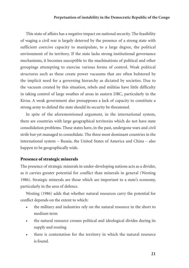This state of affairs has a negative impact on national security. The feasibility of waging a civil war is largely deterred by the presence of a strong state with sufficient coercive capacity to manipulate, to a large degree, the political environment of its territory. If the state lacks strong institutional governance mechanisms, it becomes susceptible to the machinations of political and other groupings attempting to exercise various forms of control. Weak political structures such as these create power vacuums that are often bolstered by the implicit need for a governing hierarchy as dictated by societies. Due to the vacuum created by this situation, rebels and militias have little difficulty in taking control of large swathes of areas in eastern DRC, particularly in the Kivus. A weak government also presupposes a lack of capacity to constitute a strong army to defend the state should its security be threatened.

In spite of the aforementioned argument, in the international system, there are countries with large geographical territories which do not have state consolidation problems. These states have, in the past, undergone wars and civil strife but yet managed to consolidate. The three most dominant countries in the international system – Russia, the United States of America and China – also happen to be geographically wide.

#### Presence of strategic minerals

The presence of strategic minerals in under-developing nations acts as a divider, as it carries greater potential for conflict than minerals in general (Westing 1986). Strategic minerals are those which are important to a state's economy, particularly in the area of defence.

Westing (1986) adds that whether natural resources carry the potential for conflict depends on the extent to which:

- the military and industries rely on the natural resource in the short to medium term
- the natural resource crosses political and ideological divides during its supply and routing
- there is contestation for the territory in which the natural resource is found.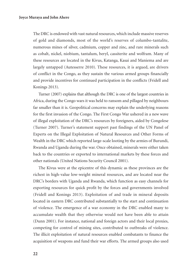The DRC is endowed with vast natural resources, which include massive reserves of gold and diamonds, most of the world's reserves of columbo-tantalite, numerous mines of silver, cadmium, copper and zinc, and rare minerals such as cobalt, nickel, niobium, tantalum, beryl, cassiterite and wolfram. Many of these resources are located in the Kivus, Katanga, Kasai and Maniema and are largely untapped (Autesserre 2010). These resources, it is argued, are drivers of conflict in the Congo, as they sustain the various armed groups financially and provide incentives for continued participation in the conflicts (Fridell and Konings 2013).

Turner (2007) explains that although the DRC is one of the largest countries in Africa, during the Congo wars it was held to ransom and pillaged by neighbours far smaller than it is. Geopolitical concerns may explain the underlying reasons for the first invasion of the Congo. The First Congo War ushered in a new wave of illegal exploitation of the DRC's resources by foreigners, aided by Congolese (Turner 2007). Turner's statement support past findings of the UN Panel of Experts on the Illegal Exploitation of Natural Resources and Other Forms of Wealth in the DRC which reported large-scale looting by the armies of Burundi, Rwanda and Uganda during the war. Once obtained, minerals were either taken back to the countries or exported to international markets by these forces and other nationals (United Nations Security Council 2001).

The Kivus were at the epicentre of this dynamic as these provinces are the richest in high-value low-weight mineral resources, and are located near the DRC's borders with Uganda and Rwanda, which function as easy channels for exporting resources for quick profit by the forces and governments involved (Fridell and Konings 2013). Exploitation of and trade in mineral deposits located in eastern DRC contributed substantially to the start and continuation of violence. The emergence of a war economy in the DRC enabled many to accumulate wealth that they otherwise would not have been able to attain (Dunn 2001). For instance, national and foreign actors and their local proxies, competing for control of mining sites, contributed to outbreaks of violence. The illicit exploitation of natural resources enabled combatants to finance the acquisition of weapons and fund their war efforts. The armed groups also used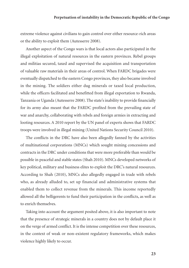extreme violence against civilians to gain control over either resource-rich areas or the ability to exploit them (Autesserre 2008).

Another aspect of the Congo wars is that local actors also participated in the illegal exploitation of natural resources in the eastern provinces. Rebel groups and militias secured, taxed and supervised the acquisition and transportation of valuable raw materials in their areas of control. When FARDC brigades were eventually dispatched to the eastern Congo provinces, they also became involved in the mining. The soldiers either dug minerals or taxed local production, while the officers facilitated and benefitted from illegal exportation to Rwanda, Tanzania or Uganda (Autesserre 2008). The state's inability to provide financially for its army also meant that the FARDC profited from the prevailing state of war and anarchy, collaborating with rebels and foreign armies in extracting and looting resources. A 2010 report by the UN panel of experts shows that FARDC troops were involved in illegal mining (United Nations Security Council 2010).

The conflicts in the DRC have also been allegedly fanned by the activities of multinational corporations (MNCs) which sought mining concessions and contracts in the DRC under conditions that were more preferable than would be possible in peaceful and stable states (Shah 2010). MNCs developed networks of key political, military and business elites to exploit the DRC's natural resources. According to Shah (2010), MNCs also allegedly engaged in trade with rebels who, as already alluded to, set up financial and administrative systems that enabled them to collect revenue from the minerals. This income reportedly allowed all the belligerents to fund their participation in the conflicts, as well as to enrich themselves.

Taking into account the argument posited above, it is also important to note that the presence of strategic minerals in a country does not by default place it on the verge of armed conflict. It is the intense competition over these resources, in the context of weak or non-existent regulatory frameworks, which makes violence highly likely to occur.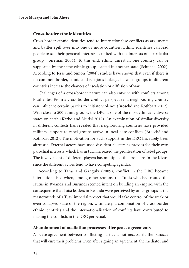#### Cross-border ethnic identities

Cross-border ethnic identities tend to internationalise conflicts as arguments and battles spill over into one or more countries. Ethnic identities can lead people to see their personal interests as united with the interests of a particular group (Joireman 2004). To this end, ethnic unrest in one country can be supported by the same ethnic group located in another state (Schnabel 2002). According to Jesse and Simon (2004), studies have shown that even if there is no common border, ethnic and religious linkages between groups in different countries increase the chances of escalation or diffusion of war.

Challenges of a cross-border nature can also entwine with conflicts among local elites. From a cross-border conflict perspective, a neighbouring country can influence certain parties to initiate violence (Brosché and Rothbart 2012). With close to 500 ethnic groups, the DRC is one of the most ethnically diverse states on earth (Karbo and Mutisi 2012). An examination of similar diversity in different contexts has revealed that neighbouring countries have provided military support to rebel groups active in local elite conflicts (Brosché and Rothbart 2012). The motivation for such support in the DRC has rarely been altruistic. External actors have used dissident clusters as proxies for their own parochial interests, which has in turn increased the proliferation of rebel groups. The involvement of different players has multiplied the problems in the Kivus, since the different actors tend to have competing agendas.

According to Taras and Ganguly (2009), conflict in the DRC became internationalised when, among other reasons, the Tutsis who had routed the Hutus in Rwanda and Burundi seemed intent on building an empire, with the consequence that Tutsi leaders in Rwanda were perceived by other groups as the masterminds of a Tutsi imperial project that would take control of the weak or even collapsed state of the region. Ultimately, a combination of cross-border ethnic identities and the internationalisation of conflicts have contributed to making the conflicts in the DRC perpetual.

# Abandonment of mediation processes after peace agreements

A peace agreement between conflicting parties is not necessarily the panacea that will cure their problems. Even after signing an agreement, the mediator and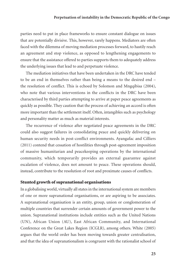parties need to put in place frameworks to ensure constant dialogue on issues that are potentially divisive. This, however, rarely happens. Mediators are often faced with the dilemma of moving mediation processes forward, to hastily reach an agreement and stop violence, as opposed to lengthening engagements to ensure that the assistance offered to parties supports them to adequately address the underlying issues that lead to and perpetuate violence.

The mediation initiatives that have been undertaken in the DRC have tended to be an end in themselves rather than being a means to the desired end – the resolution of conflict. This is echoed by Solomon and Mngqibisa (2004), who note that various interventions in the conflicts in the DRC have been characterised by third parties attempting to arrive at paper peace agreements as quickly as possible. They caution that the process of achieving an accord is often more important than the settlement itself. Often, intangibles such as psychology and personality matter as much as material interests.

The recurrence of violence after negotiated peace agreements in the DRC could also suggest failures in consolidating peace and quickly delivering on human security needs in post-conflict environments. Ayangafac and Cilliers (2011) contend that cessation of hostilities through post-agreement imposition of massive humanitarian and peacekeeping operations by the international community, which temporarily provides an external guarantee against escalation of violence, does not amount to peace. These operations should, instead, contribute to the resolution of root and proximate causes of conflicts.

#### Stunted growth of supranational organisations

In a globalising world, virtually all states in the international system are members of one or more supranational organisations, or are aspiring to be associates. A supranational organisation is an entity, group, union or conglomeration of multiple countries that surrender certain amounts of government power to the union. Supranational institutions include entities such as the United Nations (UN), African Union (AU), East African Community, and International Conference on the Great Lakes Region (ICGLR), among others. White (2005) argues that the world order has been moving towards greater centralisation, and that the idea of supranationalism is congruent with the rationalist school of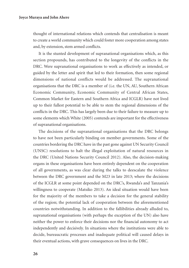thought of international relations which contends that centralisation is meant to create a world community which could foster more cooperation among states and, by extension, stem armed conflicts.

It is the stunted development of supranational organisations which, as this section propounds, has contributed to the longevity of the conflicts in the DRC. Were supranational organisations to work as effectively as intended, or guided by the letter and spirit that led to their formation, then some regional dimensions of national conflicts would be addressed. The supranational organisations that the DRC is a member of (i.e. the UN, AU, Southern African Economic Community, Economic Community of Central African States, Common Market for Eastern and Southern Africa and ICGLR) have not lived up to their fullest potential to be able to stem the regional dimensions of the conflicts in the DRC. This has largely been due to their failure to measure up to some elements which White (2005) contends are important for the effectiveness of supranational organisations.

The decisions of the supranational organisations that the DRC belongs to have not been particularly binding on member governments. Some of the countries bordering the DRC have in the past gone against UN Security Council (UNSC) resolutions to halt the illegal exploitation of natural resources in the DRC (United Nations Security Council 2012). Also, the decision-making organs in these organisations have been entirely dependent on the cooperation of all governments, as was clear during the talks to deescalate the violence between the DRC government and the M23 in late 2013; where the decisions of the ICGLR at some point depended on the DRC's, Rwanda's and Tanzania's willingness to cooperate (Matsiko 2013). An ideal situation would have been for the majority of the members to take a decision for the general stability of the region; the potential lack of cooperation between the aforementioned countries notwithstanding. In addition to the fallibilities already alluded to, supranational organisations (with perhaps the exception of the UN) also have neither the power to enforce their decisions nor the financial autonomy to act independently and decisively. In situations where the institutions were able to decide, bureaucratic processes and inadequate political will caused delays in their eventual actions, with grave consequences on lives in the DRC.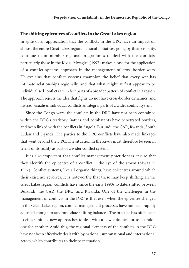#### The shifting epicentres of conflicts in the Great Lakes region

In spite of an appreciation that the conflicts in the DRC have an impact on almost the entire Great Lakes region, national initiatives, going by their visibility, continue to outnumber regional programmes to deal with the conflicts, particularly those in the Kivus. Mwagiru (1997) makes a case for the application of a conflict systems approach in the management of cross-border wars. He explains that conflict systems champion the belief that every war has intimate relationships regionally, and that what might at first appear to be individualised conflicts are in fact parts of a broader pattern of conflict in a region. The approach rejects the idea that fights do not have cross-border dynamics, and instead visualises individual conflicts as integral parts of a wider conflict system.

Since the Congo wars, the conflicts in the DRC have not been contained within the DRC's territory. Battles and combatants have penetrated borders, and been linked with the conflicts in Angola, Burundi, the CAR, Rwanda, South Sudan and Uganda. The parties to the DRC conflicts have also made linkages that went beyond the DRC. The situation in the Kivus must therefore be seen in terms of its reality as part of a wider conflict system.

It is also important that conflict management practitioners ensure that they identify the epicentre of a conflict − the eye of the storm (Mwagiru 1997). Conflict systems, like all organic things, have epicentres around which their existence revolves. It is noteworthy that these may keep shifting. In the Great Lakes region, conflicts have, since the early 1990s to date, shifted between Burundi, the CAR, the DRC, and Rwanda. One of the challenges in the management of conflicts in the DRC is that even when the epicentre changed in the Great Lakes region, conflict management processes have not been rapidly adjusted enough to accommodate shifting balances. The practice has often been to either initiate new approaches to deal with a new epicentre, or to abandon one for another. Amid this, the regional elements of the conflicts in the DRC have not been effectively dealt with by national, supranational and international actors, which contributes to their perpetuation.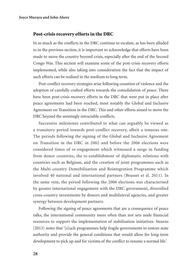# Post-crisis recovery efforts in the DRC

In as much as the conflicts in the DRC continue to escalate, as has been alluded to in the previous section, it is important to acknowledge that efforts have been made to move the country beyond crisis, especially after the end of the Second Congo War. This section will examine some of the post-crisis recovery efforts implemented, while also taking into consideration the fact that the impact of such efforts can be realised in the medium to long term.

Post-conflict recovery strategies arise following cessation of violence and the adoption of carefully crafted efforts towards the consolidation of peace. There have been post-crisis recovery efforts in the DRC that were put in place after peace agreements had been reached, most notably the Global and Inclusive Agreement on Transition in the DRC. This and other efforts aimed to move the DRC beyond the seemingly intractable conflicts.

Successive milestones contributed to what can arguably be viewed as a transitory period towards post-conflict recovery, albeit a tenuous one. The periods following the signing of the Global and Inclusive Agreement on Transition in the DRC in 2002 and before the 2006 elections were considered times of re-engagement which witnessed a surge in funding from donor countries, the re-establishment of diplomatic relations with countries such as Belgium, and the creation of joint programmes such as the Multi-country Demobilisation and Reintegration Programme which involved 40 national and international partners (Brusset et al. 2011). In the same vein, the period following the 2006 elections was characterised by greater international engagement with the DRC government, diversified cross-country investments by donors and multilateral agencies, and greater synergy between development partners.

Following the signing of peace agreements that are a consequence of peace talks, the international community more often than not sets aside financial resources to support the implementation of stabilisation initiatives. Stearns (2013) notes that '[s]uch programmes help fragile governments to restore state authority and provide the general conditions that would allow for long-term development to pick up and for victims of the conflict to resume a normal life.'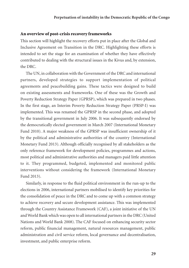#### An overview of post-crisis recovery frameworks

This section will highlight the recovery efforts put in place after the Global and Inclusive Agreement on Transition in the DRC. Highlighting these efforts is intended to set the stage for an examination of whether they have effectively contributed to dealing with the structural issues in the Kivus and, by extension, the DRC.

The UN, in collaboration with the Government of the DRC and international partners, developed strategies to support implementation of political agreements and peacebuilding gains. These tactics were designed to build on existing assessments and frameworks. One of these was the Growth and Poverty Reduction Strategy Paper (GPRSP), which was prepared in two phases. In the first stage, an Interim Poverty Reduction Strategy Paper (PRSP-I) was implemented. This was renamed the GPRSP in the second phase, and adopted by the transitional government in July 2006. It was subsequently endorsed by the democratically elected government in March 2007 (International Monetary Fund 2010). A major weakness of the GPRSP was insufficient ownership of it by the political and administrative authorities of the country (International Monetary Fund 2013). Although officially recognised by all stakeholders as the only reference framework for development policies, programmes and actions, most political and administrative authorities and managers paid little attention to it. They programmed, budgeted, implemented and monitored public interventions without considering the framework (International Monetary Fund 2013).

Similarly, in response to the fluid political environment in the run-up to the elections in 2006, international partners mobilised to identify key priorities for the consolidation of peace in the DRC and to come up with a common strategy to achieve recovery and secure development assistance. This was implemented through the Country Assistance Framework (CAF), a joint initiative of the UN and World Bank which was open to all international partners in the DRC (United Nations and World Bank 2008). The CAF focused on enhancing security sector reform, public financial management, natural resources management, public administration and civil service reform, local governance and decentralisation, investment, and public enterprise reform.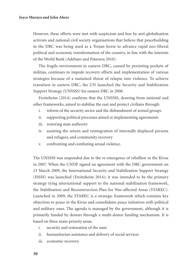#### **Joyce Muraya and John Ahere**

However, these efforts were met with scepticism and fear by anti-globalisation activists and national civil society organisations that believe that peacebuilding in the DRC was being used as a Trojan horse to advance rapid neo-liberal political and economic transformation of the country, in line with the interests of the World Bank (Adebayo and Paterson 2010).

The fragile environment in eastern DRC, caused by persisting pockets of militias, continues to impede recovery efforts and implementation of various strategies because of a sustained threat of relapse into violence. To achieve transition in eastern DRC, the UN launched the Security and Stabilization Support Strategy (UNSSSS) for eastern DRC in 2008.

Froitzheim (2014) confirms that the UNSSSS, drawing from national and other frameworks, aimed to stabilise the east and protect civilians through:

- i. reform of the security sector and the disbandment of armed groups
- ii. supporting political processes aimed at implementing agreements
- iii. restoring state authority
- iv. assisting the return and reintegration of internally displaced persons and refugees, and community recovery
- v. confronting and combating sexual violence.

The UNSSSS was suspended due to the re-emergence of rebellion in the Kivus in 2007. When the CNDP signed an agreement with the DRC government on 23 March 2009, the International Security and Stabilization Support Strategy (ISSSS) was launched (Froitzheim 2014); it was intended to be the primary strategy tying international support to the national stabilisation framework, the Stabilisation and Reconstruction Plan for War-affected Areas (STAREC). Launched in 2009, the STAREC is a strategic framework which contains key objectives to peace in the Kivus and consolidates peace initiatives with political and military ones. The agenda is managed by the government, although it is primarily funded by donors through a multi-donor funding mechanism. It is based on three main priority areas:

- i. security and restoration of the state
- ii. humanitarian assistance and delivery of social services
- iii. economic recovery.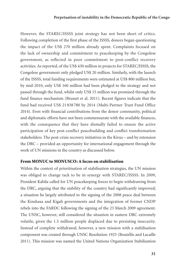However, the STAREC/ISSSS joint strategy has not been short of critics. Following completion of the first phase of the ISSSS, donors began questioning the impact of the US\$ 270 million already spent. Complaints focused on the lack of ownership and commitment to peacekeeping by the Congolese government, as reflected in poor commitment to post-conflict recovery activities. As reported, of the US\$ 430 million in projects for STAREC/ISSSS, the Congolese government only pledged US\$ 20 million. Similarly, with the launch of the ISSSS, total funding requirements were estimated at US\$ 800 million but, by mid-2010, only US\$ 160 million had been pledged to the strategy and not passed through the fund, whilst only US\$ 15 million was promised through the fund finance mechanism (Brusset et al. 2011). Recent figures indicate that the fund had received US\$ 21 838 780 by 2014 (Multi-Partner Trust Fund Office 2014). Even with financial contributions from the donor community, political and diplomatic efforts have not been commensurate with the available finances, with the consequence that they have dismally failed to ensure the active participation of key post-conflict peacebuilding and conflict transformation stakeholders. The post-crisis recovery initiatives in the Kivus – and by extension the DRC – provided an opportunity for international engagement through the work of UN missions in the country as discussed below.

#### From MONUC to MONUSCO: A focus on stabilisation

Within the context of prioritisation of stabilisation strategies, the UN mission was obliged to change tack to be in synergy with STAREC/ISSSS. In 2009, President Kabila called for UN peacekeeping forces to begin withdrawing from the DRC, arguing that the stability of the country had significantly improved; a situation he largely attributed to the signing of the 2008 peace deal between the Kinshasa and Kigali governments and the integration of former CNDP rebels into the FARDC following the signing of the 23 March 2009 agreement. The UNSC, however, still considered the situation in eastern DRC extremely volatile, given the 1.5 million people displaced due to persisting insecurity. Instead of complete withdrawal, however, a new mission with a stabilisation component was created through UNSC Resolution 1925 (Boutellis and Lacaille 2011). This mission was named the United Nations Organization Stabilization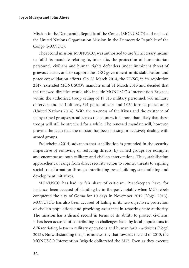Mission in the Democratic Republic of the Congo (MONUSCO) and replaced the United Nations Organization Mission in the Democratic Republic of the Congo (MONUC).

The second mission, MONUSCO, was authorised to use 'all necessary means' to fulfil its mandate relating to, inter alia, the protection of humanitarian personnel, civilians and human rights defenders under imminent threat of grievous harm, and to support the DRC government in its stabilisation and peace consolidation efforts. On 28 March 2014, the UNSC, in its resolution 2147, extended MONUSCO's mandate until 31 March 2015 and decided that the renewed directive would also include MONUSCO's Intervention Brigade, within the authorised troop ceiling of 19 815 military personnel, 760 military observers and staff officers, 391 police officers and 1 050 formed police units (United Nations 2014). With the vastness of the Kivus and the existence of many armed groups spread across the country, it is more than likely that these troops will still be stretched for a while. The renewed mandate will, however, provide the teeth that the mission has been missing in decisively dealing with armed groups.

Froitzheim (2014) advances that stabilisation is grounded in the security imperative of removing or reducing threats, by armed groups for example, and encompasses both military and civilian interventions. Thus, stabilisation approaches can range from direct security action to counter threats to aspiring social transformation through interlinking peacebuilding, statebuilding and development initiatives.

MONUSCO has had its fair share of criticism. Peacekeepers have, for instance, been accused of standing by in the past, notably when M23 rebels conquered the city of Goma for 10 days in November 2012 (Vogel 2013). MONUSCO has also been accused of failing in its two objectives: protection of civilian populations and providing assistance in restoring state authority. The mission has a dismal record in terms of its ability to protect civilians. It has been accused of contributing to challenges faced by local populations in differentiating between military operations and humanitarian activities (Vogel 2013). Notwithstanding this, it is noteworthy that towards the end of 2013, the MONUSCO Intervention Brigade obliterated the M23. Even as they execute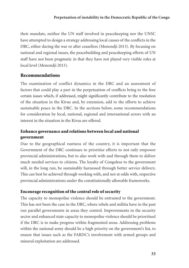their mandate, neither the UN staff involved in peacekeeping nor the UNSC have attempted to design a strategy addressing local causes of the conflicts in the DRC, either during the war or after ceasefires (Menondji 2013). By focusing on national and regional issues, the peacebuilding and peacekeeping efforts of UN staff have not been pragmatic in that they have not played very visible roles at local level (Menondji 2013).

# Recommendations

The examination of conflict dynamics in the DRC and an assessment of factors that could play a part in the perpetuation of conflicts bring to the fore certain issues which, if addressed, might significantly contribute to the resolution of the situation in the Kivus and, by extension, add to the efforts to achieve sustainable peace in the DRC. In the sections below, some recommendations for consideration by local, national, regional and international actors with an interest in the situation in the Kivus are offered.

# Enhance governance and relations between local and national government

Due to the geographical vastness of the country, it is important that the Government of the DRC continues to prioritise efforts to not only empower provincial administrations, but to also work with and through them to deliver much needed services to citizens. The loyalty of Congolese to the government will, in the long run, be sustainably harnessed through better service delivery. This can best be achieved through working with, and not at odds with, respective provincial administrations under the constitutionally allowable frameworks.

# Encourage recognition of the central role of security

The capacity to monopolise violence should be entrusted to the government. This has not been the case in the DRC, where rebels and militia have in the past run parallel governments in areas they control. Improvements in the security sector and enhanced state capacity to monopolise violence should be prioritised if the DRC is to make progress within fragmented areas. Addressing problems within the national army should be a high priority on the government's list, to ensure that issues such as the FARDC's involvement with armed groups and mineral exploitation are addressed.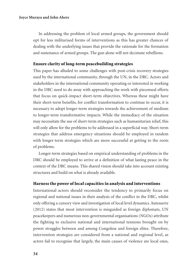In addressing the problem of local armed groups, the government should opt for less militarised forms of interventions as this has greater chances of dealing with the underlying issues that provide the rationale for the formation and sustenance of armed groups. The gun alone will not decimate rebellions.

# Ensure clarity of long-term peacebuilding strategies

This paper has alluded to some challenges with post-crisis recovery strategies used by the international community, through the UN, in the DRC. Actors and stakeholders in the international community operating or interested in working in the DRC need to do away with approaching the work with piecemeal efforts that focus on quick-impact short-term objectives. Whereas these might have their short-term benefits, for conflict transformation to continue to occur, it is necessary to adopt longer-term strategies towards the achievement of medium to longer-term transformative impacts. While the immediacy of the situation may necessitate the use of short-term strategies such as humanitarian relief, this will only allow for the problems to be addressed in a superficial way. Short-term strategies that address emergency situations should be employed in tandem with longer-term strategies which are more successful at getting to the roots of problems.

Longer-term strategies based on empirical understanding of problems in the DRC should be employed to arrive at a definition of what lasting peace in the context of the DRC means. This shared vision should take into account existing structures and build on what is already available.

# Harness the power of local capacities in analysis and interventions

International actors should reconsider the tendency to primarily focus on regional and national issues in their analysis of the conflict in the DRC, whilst only offering a cursory view and investigation of local level dynamics. Autesserre (2012) states that most intervention is misguided as foreign diplomats, UN peacekeepers and numerous non-governmental organisations (NGOs) attribute the fighting to exclusive national and international tensions brought on by power struggles between and among Congolese and foreign elites. Therefore, intervention strategies are considered from a national and regional level, as actors fail to recognise that largely, the main causes of violence are local ones,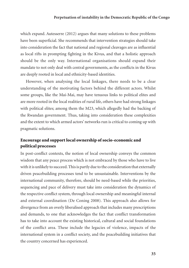which expand. Autesserre (2012) argues that many solutions to these problems have been superficial. She recommends that intervention strategies should take into consideration the fact that national and regional cleavages are as influential as local rifts in prompting fighting in the Kivus, and that a holistic approach should be the only way. International organisations should expand their mandate to not only deal with central governments, as the conflicts in the Kivus are deeply rooted in local and ethnicity-based identities.

However, when analysing the local linkages, there needs to be a clear understanding of the motivating factors behind the different actors. Whilst some groups, like the Mai-Mai, may have tenuous links to political elites and are more rooted in the local realities of rural life, others have had strong linkages with political elites; among them the M23, which allegedly had the backing of the Rwandan government. Thus, taking into consideration these complexities and the extent to which armed actors' networks run is critical to coming up with pragmatic solutions.

# Encourage and support local ownership of socio-economic and political processes

In post-conflict contexts, the notion of local ownership conveys the common wisdom that any peace process which is not embraced by those who have to live with it is unlikely to succeed. This is partly due to the consideration that externally driven peacebuilding processes tend to be unsustainable. Interventions by the international community, therefore, should be need-based while the priorities, sequencing and pace of delivery must take into consideration the dynamics of the respective conflict system, through local ownership and meaningful internal and external coordination (De Coning 2008). This approach also allows for divergence from an overly liberalised approach that includes many prescriptions and demands, to one that acknowledges the fact that conflict transformation has to take into account the existing historical, cultural and social foundations of the conflict area. These include the legacies of violence, impacts of the international system in a conflict society, and the peacebuilding initiatives that the country concerned has experienced.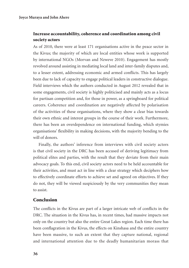# Increase accountability, coherence and coordination among civil society actors

As of 2010, there were at least 171 organisations active in the peace sector in the Kivus; the majority of which are local entities whose work is supported by international NGOs (Morvan and Nzweve 2010). Engagement has mostly revolved around assisting in mediating local land and inter-family disputes and, to a lesser extent, addressing economic and armed conflicts. This has largely been due to lack of capacity to engage political leaders in constructive dialogue. Field interviews which the authors conducted in August 2012 revealed that in some engagements, civil society is highly politicised and mainly acts as a locus for partisan competition and, for those in power, as a springboard for political careers. Coherence and coordination are negatively affected by polarisation of the activities of these organisations, where they show a clear bias towards their own ethnic and interest groups in the course of their work. Furthermore, there has been an overdependence on international funding, which stymies organisations' flexibility in making decisions, with the majority bending to the will of donors.

Finally, the authors' inference from interviews with civil society actors is that civil society in the DRC has been accused of deriving legitimacy from political elites and parties, with the result that they deviate from their main advocacy goals. To this end, civil society actors need to be held accountable for their activities, and must act in line with a clear strategy which deciphers how to effectively coordinate efforts to achieve set and agreed on objectives. If they do not, they will be viewed suspiciously by the very communities they mean to assist.

# Conclusion

The conflicts in the Kivus are part of a larger intricate web of conflicts in the DRC. The situation in the Kivus has, in recent times, had massive impacts not only on the country but also the entire Great Lakes region. Each time there has been conflagration in the Kivus, the effects on Kinshasa and the entire country have been massive, to such an extent that they capture national, regional and international attention due to the deadly humanitarian morass that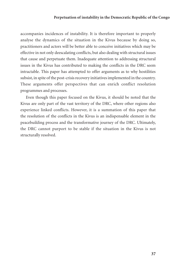accompanies incidences of instability. It is therefore important to properly analyse the dynamics of the situation in the Kivus because by doing so, practitioners and actors will be better able to conceive initiatives which may be effective in not only deescalating conflicts, but also dealing with structural issues that cause and perpetuate them. Inadequate attention to addressing structural issues in the Kivus has contributed to making the conflicts in the DRC seem intractable. This paper has attempted to offer arguments as to why hostilities subsist, in spite of the post-crisis recovery initiatives implemented in the country. These arguments offer perspectives that can enrich conflict resolution programmes and processes.

Even though this paper focused on the Kivus, it should be noted that the Kivus are only part of the vast territory of the DRC, where other regions also experience linked conflicts. However, it is a summation of this paper that the resolution of the conflicts in the Kivus is an indispensable element in the peacebuilding process and the transformative journey of the DRC. Ultimately, the DRC cannot purport to be stable if the situation in the Kivus is not structurally resolved.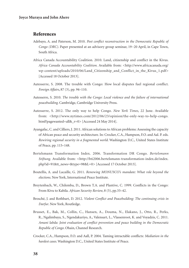# References

- Adebayo, A. and Paterson, M. 2010. *Post conflict reconstruction in the Democratic Republic of Congo (DRC)*. Paper presented at an advisory group seminar, 19−20 April, in Cape Town, South Africa.
- Africa Canada Accountability Coalition. 2010. Land, citizenship and conflict in the Kivus. *Africa Canada Accountability Coalition*. Available from: <http://www.africacanada.org/ wp-content/uploads/2010/06/Land\_Citizenship\_and\_Conflict\_in\_the\_Kivus\_1.pdf> [Accessed 18 October 2013].
- Autesserre, S. 2008. The trouble with Congo: How local disputes fuel regional conflict. *Foreign Affairs*, 87 (3), pp. 94–110.
- Autesserre, S. 2010. *The trouble with the Congo: Local violence and the failure of international peacebuilding*. Cambridge, Cambridge University Press.
- Autesserre, S. 2012. The only way to help Congo. *New York Times*, 22 June. Available from: <http://www.nytimes.com/2012/06/23/opinion/the-only-way-to-help-congo. html?pagewanted=all& r=0> [Accessed 24 May 2014].
- Ayangafac, C. and Cilliers, J. 2011. African solutions to African problems: Assessing the capacity of African peace and security architecture. In: Crocker, C.A., Hampson, F.O. and Aal. P. eds. *Rewiring regional security in a fragmented world*. Washington D.C., United States Institute of Peace, pp. 115–148.
- Bertelsmann Transformation Index. 2006. Transformation DR Congo. *Bertelsmann Stiftung*. Available from: <http://bti2006.bertelsmann-transformation-index.de/index. php?id=91&tt\_news=&type=98&L=0> [Accessed 17 October 2013].
- Boutellis, A. and Lacaille, G. 2011. *Renewing MONUSCO's mandate: What role beyond the elections*. New York, International Peace Institute.
- Breytenbach, W., Chilemba, D., Brown T.A. and Plantive, C. 1999. Conflicts in the Congo: From Kivu to Kabila. *African Security Review*, 8 (5), pp.33–42.
- Brosché, J. and Rothbart, D. 2012. *Violent Conflict and Peacebuilding: The continuing crisis in Darfur*. New York, Routledge.
- Brusset, E., Bak, M., Collin, C., Hansen, A., Douma, N., Elakano, J., Otto, R., Perks, R., Ngalimbaya, S., Ngendakuriyo, A., Valensart, L., Vlassenroot, K. and Voyadzis, C. 2011. *Amani labda: Joint evaluation of conflict prevention and peace building in the Democratic Republic of Congo*. Ohain, Channel Research.
- Crocker, C.A., Hampson, F.O. and Aall, P. 2004. Taming intractable conflicts: *Mediation in the hardest cases*. Washington D.C., United States Institute of Peace.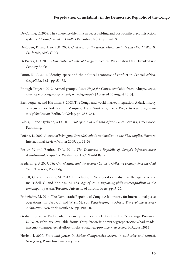- De Coning, C. 2008. The coherence dilemma in peacebuilding and post-conflict reconstruction systems. *African Journal on Conflict Resolution*, 8 (3), pp. 85–109.
- DeRouen, K. and Heo, U.K. 2007. *Civil wars of the world: Major conflicts since World War II*. California, ABC-CLIO.
- Di Piazza, F.D. 2008. *Democratic Republic of Congo in pictures*. Washington D.C., Twenty-First Century Books.
- Dunn, K. C. 2001. Identity, space and the political economy of conflict in Central Africa. *Geopolitics*, 6 (2), pp. 51–78.
- Enough Project. 2012. Armed groups. *Raise Hope for Congo*. Available from: <http://www. raisehopeforcongo.org/content/armed-groups> [Accessed 30 August 2013].
- Exenberger, A. and Hartman, S. 2008. The Congo and world market integration: A dark history of recurring exploitation. In: Marques, H. and Soukiazis, E. eds. *Perspectives on integration and globalisation*. Berlin, Lit Verlag, pp. 235–264.
- Falola, T. and Oyebade, A.O. 2010. *Hot spot: Sub-Saharan Africa*. Santa Barbara, Greenwood Publishing.
- Fofana, L. 2009. *A crisis of belonging: Rwanda's ethnic nationalism in the Kivu conflict*. Harvard International Review, Winter 2009, pp. 34–38.
- Foster, V. and Benitez, D.A. 2011. *The Democratic Republic of Congo's infrastructure: A continental perspective*. Washington D.C., World Bank.
- Frederking, B. 2007. *The United States and the Security Council: Collective security since the Cold War*. New York, Routledge.
- Fridell, G. and Konings, M. 2013. Introduction: Neoliberal capitalism as the age of icons. In: Fridell, G. and Konings, M. eds. *Age of icons: Exploring philanthrocapitalism in the contemporary world*. Toronto, University of Toronto Press, pp. 3–25.
- Froitzheim, M. 2014. The Democratic Republic of Congo: A laboratory for international peace operations. In: Tardy, T. and Wyss, M. eds. *Peacekeeping in Africa: The evolving security architecture*. New York, Routledge, pp. 190–207.
- Graham, S. 2014. Bad roads, insecurity hamper relief effort in DRC's Katanga Province. *IRIN*, 28 February. Available from: <http://www.irinnews.org/report/99669/bad-roadsinsecurity-hamper-relief-effort-in-drc-s-katanga-province> [Accessed 14 August 2014].
- Herbst, J. 2000. *State and power in Africa: Comparative lessons in authority and control*. New Jersey, Princeton University Press.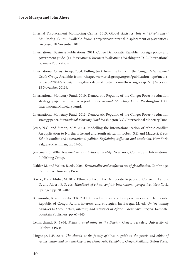- Internal Displacement Monitoring Centre. 2013. Global statistics. *Internal Displacement Monitoring Centre*. Available from: <http://www.internal-displacement.org/statistics> [Accessed 18 November 2013].
- International Business Publications. 2011. Congo Democratic Republic: Foreign policy and government guide, (1). *International Business Publications*. Washington D.C., International Business Publications.
- International Crisis Group. 2004. Pulling back from the brink in the Congo. *International Crisis Group.* Available from: <http://www.crisisgroup.org/en/publication-type/mediareleases/2004/africa/pulling-back-from-the-brink-in-the-congo.aspx> [Accessed 18 November 2013].
- International Monetary Fund. 2010. Democratic Republic of the Congo: Poverty reduction strategy paper – progress report. *International Monetary Fund*. Washington D.C., International Monetary Fund.
- International Monetary Fund. 2013. Democratic Republic of the Congo: Poverty reduction strategy paper. *International Monetary Fund.* Washington D.C., International Monetary Fund.
- Jesse, N.G. and Simon, M.V. 2004. Modelling the internationalization of ethnic conflict: An application to Northern Ireland and South Africa. In: Lobell, S.E. and Mauceri, P. eds. *Ethnic conflict and international politics: Explaining diffusion and escalation*. New York, Palgrave Macmillan, pp. 35–50.
- Joireman, S. 2004. *Nationalism and political identity*. New York, Continuum International Publishing Group.
- Kahler, M. and Walter, B. eds. 2006. *Territoriality and conflict in era of globalisation*. Cambridge, Cambridge University Press.
- Karbo, T. and Mutisi, M. 2012. Ethnic conflict in the Democratic Republic of Congo. In: Landis, D. and Albert, R.D. eds. *Handbook of ethnic conflict: International perspectives*. New York, Springer, pp. 381–402.
- Kibasomba, R. and Lombe, T.R. 2011. Obstacles to post-election peace in eastern Democratic Republic of Congo: Actors, interests and strategies. In: Baregu, M. ed. *Understanding obstacles to peace: Actors, interests, and strategies in Africa's Great Lakes Region*. Kampala, Fountain Publishers, pp. 61–145.
- Lemarchand, R. 1964. *Political awakening in the Belgian Congo*. Berkeley, University of California Press.
- Lingonge, L.E. 2004. *The church as the family of God: A guide in the praxis and ethics of reconciliation and peacemaking in the Democratic Republic of Congo*. Maitland, Xulon Press.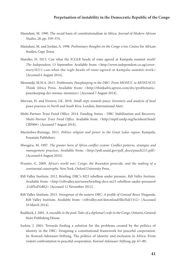- Mamdani, M. 1990. The social basis of constitutionalism in Africa. *Journal of Modern African Studies*, 28, pp. 359–374.
- Mamdani, M. and Jordan, A. 1998. *Preliminary thoughts on the Congo crisis*. Centre for African Studies, Cape Town.
- Matsiko, H. 2013. Can what the ICGLR heads of state agreed at Kampala summit work? *The Independent*, 13 September. Available from: <http://www.independent.co.ug/coverstory/8211-can-what-the-icglr-heads-of-state-agreed-at-kampala-summit-work> [Accessed 6 August 2014].
- Menondji, M.H.A. 2013. *Problematic Peacpkeeping in the DRC: From MONUC to MONUSCO*. Think Africa Press. Available from: <http://thinkafricapress.com/drc/problematicpeacekeeping-drc-monuc-monusco> [Accessed 7 August 2014].
- Morvan, H. and Nzweve, J.K. 2010. *Small steps towards peace: Inventory and analysis of local peace practices in North and South Kivu*. London, International Alert.
- Multi-Partner Trust Fund Office. 2014. Funding Status DRC Stabilization and Recovery. *Multi-Partner Trust Fund Office*. Available from: <http://mptf.undp.org/factsheet/fund/ CRF00#> [Accessed 7 August 2014].
- Murindwa-Rutanga. 2011. *Politics religion and power in the Great Lakes region*. Kampala, Fountain Publishers.
- Mwagiru, M. 1997. *The greater horn of Africa conflict system: Conflict patterns, strategies and management practices*. Available from: <http://pdf.usaid.gov/pdf\_docs/pnach215.pdf> [Accessed 6 August 2014].
- Prunier, G. 2009. *Africa's world war: Congo, the Rwandan genocide, and the making of a continental catastrophe*. New York, Oxford University Press.
- Rift Valley Institute. 2012. Briefing: DRC's M23 rebellion under pressure. *Rift Valley Institute*. Available from: <http://riftvalley.net/news/briefing-drcs-m23-rebellion-under-pressure# .UoIf5uIVaRQ> [Accessed 12 November 2012].
- Rift Valley Institute. 2013. *Strongman of the eastern DRC: A profile of General Bosco Ntaganda*. Rift Valley Institute. Available from: <riftvalley.net/download/file/fid/1512> [Accessed 10 March 2014].
- Ruddock, J. 2001. *A crocodile in the pool: Tales of a diplomat's wife in the Congo*. Ontario, General Store Publishing House.
- Sarkin, J. 2001. Towards finding a solution for the problems created by the politics of identity in the DRC: Designing a constitutional framework for peaceful cooperation. In: Konrad-Adenauer-Stiftung. The politics of identity and exclusion in Africa: From violent confrontation to peaceful cooperation. *Konrad-Adenauer-Stiftung*, pp. 67–80.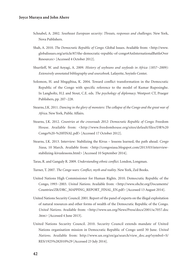- Schnabel, A. 2002. *Southeast European security: Threats, responses and challenges*. New York, Nova Publishers.
- Shah, A. 2010. *The Democratic Republic of Congo*. Global Issues. Available from: <http://www. globalissues.org/article/87/the-democratic-republic-of-congo#AnInternationalBattleOver Resources> [Accessed 4 October 2012].
- Shurtleff, W. and Aoyagi, A. 2009. *History of soybeans and soyfoods in Africa (1857−2009): Extensively annotated bibliography and sourcebook*. Lafayette, Soyinfo Center.
- Solomon, H. and Mngqibisa, K. 2004. Toward conflict transformation in the Democratic Republic of the Congo with specific reference to the model of Kumar Rupesinghe. In Langholtz, H.J. and Stout, C.E. eds. *The psychology of diplomacy*. Westport CT, Praeger Publishers, pp. 207−228.
- Stearns, J.K. 2011. *Dancing in the glory of monsters: The collapse of the Congo and the great war of Africa*. New York, Public Affairs.
- Stearns, J.K. 2012. *Countries at the crossroads 2012: Democratic Republic of Congo*. Freedom House. Available from: <http://www.freedomhouse.org/sites/default/files/DR%20 Congo%20-%20FINAL.pdf> [Accessed 17 October 2012].
- Stearns, J.K. 2013. Interview: Stabilizing the Kivus lessons learned, the path ahead. *Congo Siasa*, 10 March. Available from: <http://congosiasa.blogspot.com/2013/03/interviewstabilizing-kivuslessons.html> [Accessed 10 September 2014].
- Taras, R. and Ganguly R. 2009. *Understanding ethnic conflict*. London, Longman.
- Turner, T. 2007. *The Congo wars: Conflict, myth and reality*. New York, Zed Books.
- United Nations High Commissioner for Human Rights. 2010. Democratic Republic of the Congo, 1993−2003. *United Nations*. Available from: <http://www.ohchr.org/Documents/ Countries/ZR/DRC\_MAPPING\_REPORT\_FINAL\_EN.pdf> [Accessed 13 August 2014].
- United Nations Security Council. 2001. Report of the panel of experts on the illegal exploitation of natural resources and other forms of wealth of the Democratic Republic of the Congo. *United Nations*. Available from: <http://www.un.org/News/Press/docs/2001/sc7057.doc .htm> [Accessed 4 June 2013].
- United Nations Security Council. 2010. Security Council extends mandate of United Nations organisation mission in Democratic Republic of Congo until 30 June. *United Nations*. Available from: http://www.un.org/en/ga/search/view\_doc.asp?symbol=S/ RES/1925%282010%29 [Accessed 23 July 2014].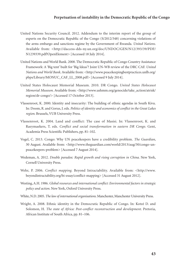- United Nations Security Council. 2012. Addendum to the interim report of the group of experts on the Democratic Republic of the Congo (S/2012/348) concerning violations of the arms embargo and sanctions regime by the Government of Rwanda. *United Nations*. Available from: <http://daccess-dds-ny.un.org/doc/UNDOC/GEN/N12/393/39/PDF/ N1239339.pdf?OpenElement> [Accessed 18 July 2014].
- United Nations and World Bank. 2008. The Democratic Republic of Congo Country Assistance Framework: A 'Big tent' built for 'Big Ideas'? Joint UN-WB review of the DRC CAF. *United Nations and World Bank*. Available from: <http://www.peacekeepingbestpractices.unlb.org/ pbps/Library/MONUC\_CAF\_LL\_2008.pdf> [Accessed 9 July 2014].
- United States Holocaust Memorial Museum. 2010. DR Congo. *United States Holocaust Memorial Museum*. Available from: <http://www.ushmm.org/genocide/take\_action/atrisk/ region/dr-congo/> [Accessed 17 October 2013].
- Vlassenroot, K. 2000. Identity and insecurity: The building of ethnic agendas in South Kivu. In: Doom, R. and Gorus, J. eds. *Politics of identity and economics of conflict in the Great Lakes region*. Brussels, VUB University Press.
- Vlassenroot, K. 2004. Land and conflict: The case of Masisi. In: Vlassenroot, K. and Raeymaekers, T. eds. *Conflict and social transformation in eastern DR Congo*. Gent, Academia Press Scientific Publishers, pp. 81–102.
- Vogel, C. 2013. Congo: Why UN peacekeepers have a credibility problem. *The Guardian*, 30 August. Available from: <http://www.theguardian.com/world/2013/aug/30/congo-unpeacekeepers-problem> [Accessed 7 August 2014].
- Wedeman, A. 2012. *Double paradox: Rapid growth and rising corruption in China*. New York, Cornell University Press.
- Wehr, P. 2006. *Conflict mapping*. Beyond Intractability. Available from: <http://www. beyondintractability.org/bi-essay/conflict-mapping> [Accessed 31 August 2012].
- Westing, A.H. 1986. *Global resources and international conflict: Environmental factors in strategic policy and action*. New York, Oxford University Press.
- White, N.D. 2005. *The law of international organisations*. Manchester, Manchester University Press.
- Wright, A. 2008. Ethnic identity in the Democratic Republic of Congo. In: Kotzé D. and Solomon, H. *The state of Africa: Post-conflict reconstruction and development*. Pretoria, African Institute of South Africa, pp. 81–106.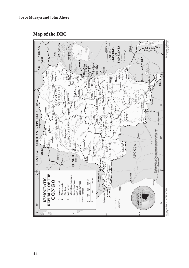Map of the DRC